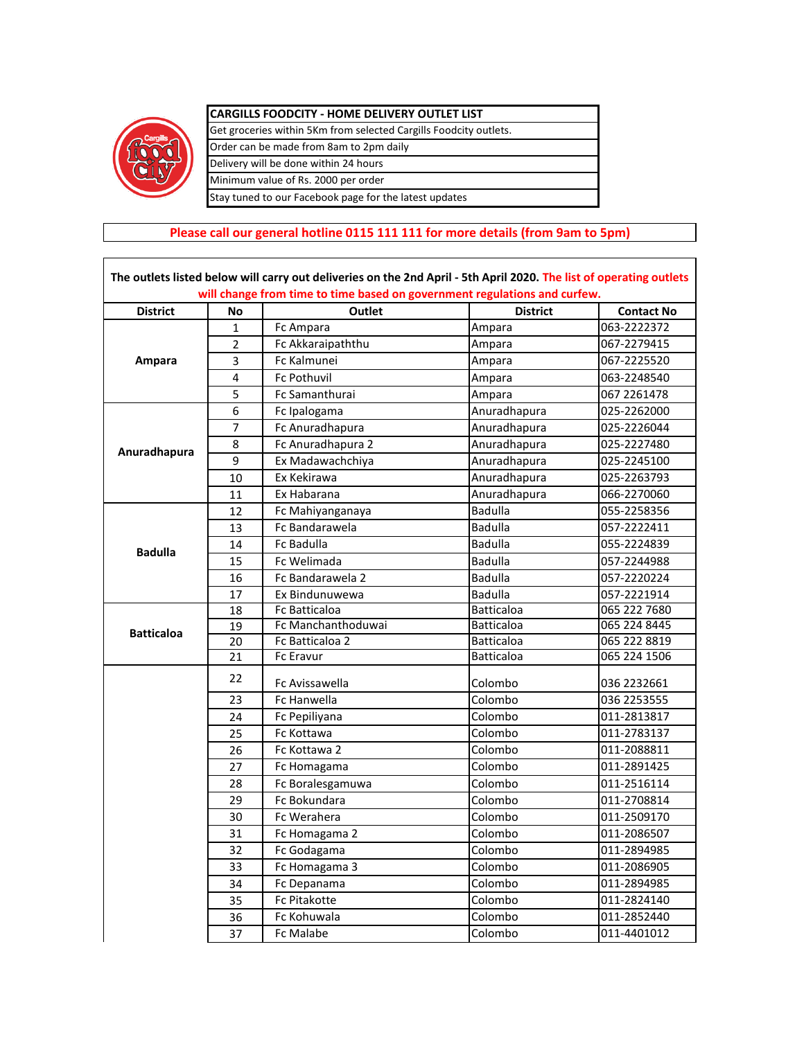

 $\mathsf{r}$ 

## **CARGILLS FOODCITY - HOME DELIVERY OUTLET LIST**

Get groceries within 5Km from selected Cargills Foodcity outlets. Order can be made from 8am to 2pm daily Delivery will be done within 24 hours Minimum value of Rs. 2000 per order Stay tuned to our Facebook page for the latest updates

## **Please call our general hotline 0115 111 111 for more details (from 9am to 5pm)**

| <b>District</b>   | No              | Outlet              | <b>District</b>   | <b>Contact No</b> |
|-------------------|-----------------|---------------------|-------------------|-------------------|
|                   | $\mathbf{1}$    | Fc Ampara           | Ampara            | 063-2222372       |
|                   | $\overline{2}$  | Fc Akkaraipaththu   | Ampara            | 067-2279415       |
| Ampara            | 3               | Fc Kalmunei         | Ampara            | 067-2225520       |
|                   | 4               | <b>Fc Pothuvil</b>  | Ampara            | 063-2248540       |
|                   | 5               | Fc Samanthurai      | Ampara            | 067 2261478       |
|                   | 6               | Fc Ipalogama        | Anuradhapura      | 025-2262000       |
|                   | 7               | Fc Anuradhapura     | Anuradhapura      | 025-2226044       |
|                   | 8               | Fc Anuradhapura 2   | Anuradhapura      | 025-2227480       |
| Anuradhapura      | 9               | Ex Madawachchiya    | Anuradhapura      | 025-2245100       |
|                   | 10              | Ex Kekirawa         | Anuradhapura      | 025-2263793       |
|                   | 11              | Ex Habarana         | Anuradhapura      | 066-2270060       |
|                   | 12              | Fc Mahiyanganaya    | <b>Badulla</b>    | 055-2258356       |
|                   | 13              | Fc Bandarawela      | <b>Badulla</b>    | 057-2222411       |
| <b>Badulla</b>    | 14              | <b>Fc Badulla</b>   | <b>Badulla</b>    | 055-2224839       |
|                   | 15              | Fc Welimada         | <b>Badulla</b>    | 057-2244988       |
|                   | 16              | Fc Bandarawela 2    | <b>Badulla</b>    | 057-2220224       |
|                   | 17              | Ex Bindunuwewa      | <b>Badulla</b>    | 057-2221914       |
|                   | 18              | Fc Batticaloa       | <b>Batticaloa</b> | 065 222 7680      |
| <b>Batticaloa</b> | $\overline{19}$ | Fc Manchanthoduwai  | <b>Batticaloa</b> | 065 224 8445      |
|                   | 20              | Fc Batticaloa 2     | <b>Batticaloa</b> | 065 222 8819      |
|                   | 21              | Fc Eravur           | <b>Batticaloa</b> | 065 224 1506      |
|                   | 22              | Fc Avissawella      | Colombo           | 036 2232661       |
|                   | 23              | Fc Hanwella         | Colombo           | 036 2253555       |
|                   | 24              | Fc Pepiliyana       | Colombo           | 011-2813817       |
|                   | 25              | Fc Kottawa          | Colombo           | 011-2783137       |
|                   | 26              | Fc Kottawa 2        | Colombo           | 011-2088811       |
|                   | 27              | Fc Homagama         | Colombo           | 011-2891425       |
|                   | 28              | Fc Boralesgamuwa    | Colombo           | 011-2516114       |
|                   | 29              | Fc Bokundara        | Colombo           | 011-2708814       |
|                   | 30              | Fc Werahera         | Colombo           | 011-2509170       |
|                   | 31              | Fc Homagama 2       | Colombo           | 011-2086507       |
|                   | 32              | Fc Godagama         | Colombo           | 011-2894985       |
|                   | 33              | Fc Homagama 3       | Colombo           | 011-2086905       |
|                   | 34              | Fc Depanama         | Colombo           | 011-2894985       |
|                   | 35              | <b>Fc Pitakotte</b> | Colombo           | 011-2824140       |
|                   | 36              | Fc Kohuwala         | Colombo           | 011-2852440       |
|                   | 37              | <b>Fc Malabe</b>    | Colombo           | 011-4401012       |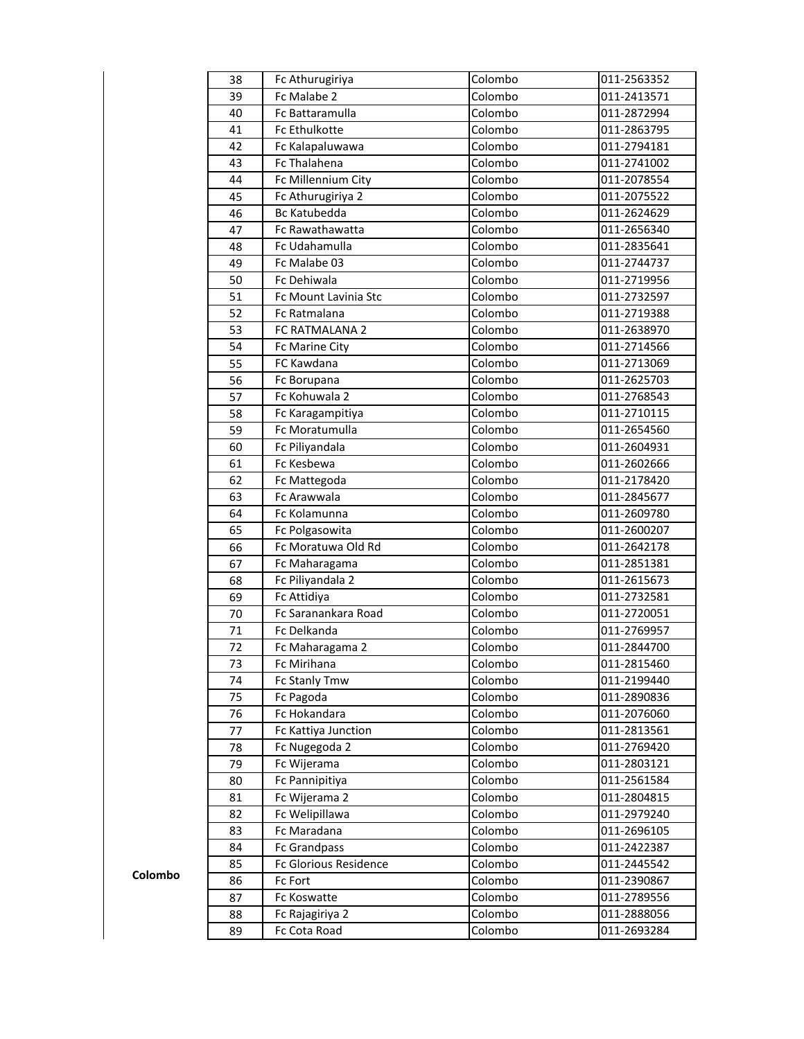| 38 | Fc Athurugiriya              | Colombo | 011-2563352 |
|----|------------------------------|---------|-------------|
| 39 | Fc Malabe 2                  | Colombo | 011-2413571 |
| 40 | Fc Battaramulla              | Colombo | 011-2872994 |
| 41 | Fc Ethulkotte                | Colombo | 011-2863795 |
| 42 | Fc Kalapaluwawa              | Colombo | 011-2794181 |
| 43 | Fc Thalahena                 | Colombo | 011-2741002 |
| 44 | Fc Millennium City           | Colombo | 011-2078554 |
| 45 | Fc Athurugiriya 2            | Colombo | 011-2075522 |
| 46 | <b>Bc Katubedda</b>          | Colombo | 011-2624629 |
| 47 | Fc Rawathawatta              | Colombo | 011-2656340 |
| 48 | Fc Udahamulla                | Colombo | 011-2835641 |
| 49 | Fc Malabe 03                 | Colombo | 011-2744737 |
| 50 | Fc Dehiwala                  | Colombo | 011-2719956 |
| 51 | Fc Mount Lavinia Stc         | Colombo | 011-2732597 |
| 52 | Fc Ratmalana                 | Colombo | 011-2719388 |
| 53 | FC RATMALANA 2               | Colombo | 011-2638970 |
| 54 | Fc Marine City               | Colombo | 011-2714566 |
| 55 | FC Kawdana                   | Colombo | 011-2713069 |
| 56 | Fc Borupana                  | Colombo | 011-2625703 |
| 57 | Fc Kohuwala 2                | Colombo | 011-2768543 |
| 58 | Fc Karagampitiya             | Colombo | 011-2710115 |
| 59 | Fc Moratumulla               | Colombo | 011-2654560 |
| 60 | Fc Piliyandala               | Colombo | 011-2604931 |
| 61 | Fc Kesbewa                   | Colombo | 011-2602666 |
| 62 | Fc Mattegoda                 | Colombo | 011-2178420 |
| 63 | Fc Arawwala                  | Colombo | 011-2845677 |
| 64 | Fc Kolamunna                 | Colombo | 011-2609780 |
| 65 | Fc Polgasowita               | Colombo | 011-2600207 |
| 66 | Fc Moratuwa Old Rd           | Colombo | 011-2642178 |
| 67 | Fc Maharagama                | Colombo | 011-2851381 |
| 68 | Fc Piliyandala 2             | Colombo | 011-2615673 |
| 69 | Fc Attidiya                  | Colombo | 011-2732581 |
| 70 | Fc Saranankara Road          | Colombo | 011-2720051 |
| 71 | Fc Delkanda                  | Colombo | 011-2769957 |
| 72 | Fc Maharagama 2              | Colombo | 011-2844700 |
| 73 | Fc Mirihana                  | Colombo | 011-2815460 |
| 74 | Fc Stanly Tmw                | Colombo | 011-2199440 |
| 75 | Fc Pagoda                    | Colombo | 011-2890836 |
| 76 | Fc Hokandara                 | Colombo | 011-2076060 |
| 77 | Fc Kattiya Junction          | Colombo | 011-2813561 |
| 78 | Fc Nugegoda 2                | Colombo | 011-2769420 |
| 79 | Fc Wijerama                  | Colombo | 011-2803121 |
| 80 | Fc Pannipitiya               | Colombo | 011-2561584 |
| 81 | Fc Wijerama 2                | Colombo | 011-2804815 |
| 82 | Fc Welipillawa               | Colombo | 011-2979240 |
| 83 | Fc Maradana                  | Colombo | 011-2696105 |
| 84 | Fc Grandpass                 | Colombo | 011-2422387 |
| 85 | <b>Fc Glorious Residence</b> | Colombo | 011-2445542 |
| 86 | Fc Fort                      | Colombo | 011-2390867 |
| 87 | Fc Koswatte                  | Colombo | 011-2789556 |
| 88 | Fc Rajagiriya 2              | Colombo | 011-2888056 |
| 89 | Fc Cota Road                 | Colombo | 011-2693284 |

**Colombo**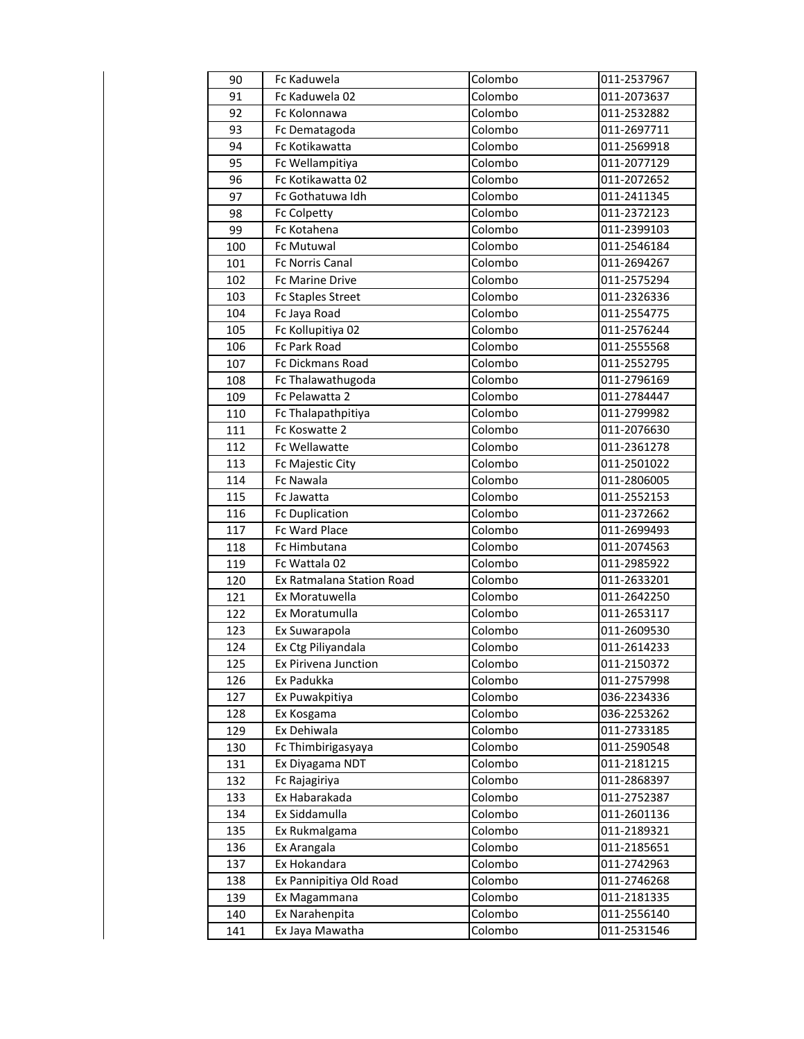| 90  | Fc Kaduwela               | Colombo | 011-2537967 |
|-----|---------------------------|---------|-------------|
| 91  | Fc Kaduwela 02            | Colombo | 011-2073637 |
| 92  | Fc Kolonnawa              | Colombo | 011-2532882 |
| 93  | Fc Dematagoda             | Colombo | 011-2697711 |
| 94  | Fc Kotikawatta            | Colombo | 011-2569918 |
| 95  | Fc Wellampitiya           | Colombo | 011-2077129 |
| 96  | Fc Kotikawatta 02         | Colombo | 011-2072652 |
| 97  | Fc Gothatuwa Idh          | Colombo | 011-2411345 |
| 98  | Fc Colpetty               | Colombo | 011-2372123 |
| 99  | Fc Kotahena               | Colombo | 011-2399103 |
| 100 | Fc Mutuwal                | Colombo | 011-2546184 |
| 101 | Fc Norris Canal           | Colombo | 011-2694267 |
| 102 | <b>Fc Marine Drive</b>    | Colombo | 011-2575294 |
| 103 | <b>Fc Staples Street</b>  | Colombo | 011-2326336 |
| 104 | Fc Jaya Road              | Colombo | 011-2554775 |
| 105 | Fc Kollupitiya 02         | Colombo | 011-2576244 |
| 106 | <b>Fc Park Road</b>       | Colombo | 011-2555568 |
| 107 | Fc Dickmans Road          | Colombo | 011-2552795 |
| 108 | Fc Thalawathugoda         | Colombo | 011-2796169 |
| 109 | Fc Pelawatta 2            | Colombo | 011-2784447 |
| 110 | Fc Thalapathpitiya        | Colombo | 011-2799982 |
| 111 | Fc Koswatte 2             | Colombo | 011-2076630 |
| 112 | Fc Wellawatte             | Colombo | 011-2361278 |
| 113 | Fc Majestic City          | Colombo | 011-2501022 |
| 114 | Fc Nawala                 | Colombo | 011-2806005 |
| 115 | Fc Jawatta                | Colombo | 011-2552153 |
| 116 | <b>Fc Duplication</b>     | Colombo | 011-2372662 |
| 117 | Fc Ward Place             | Colombo | 011-2699493 |
| 118 | Fc Himbutana              | Colombo | 011-2074563 |
| 119 | Fc Wattala 02             | Colombo | 011-2985922 |
| 120 | Ex Ratmalana Station Road | Colombo | 011-2633201 |
| 121 | Ex Moratuwella            | Colombo | 011-2642250 |
| 122 | Ex Moratumulla            | Colombo | 011-2653117 |
| 123 | Ex Suwarapola             | Colombo | 011-2609530 |
| 124 | Ex Ctg Piliyandala        | Colombo | 011-2614233 |
| 125 | Ex Pirivena Junction      | Colombo | 011-2150372 |
| 126 | Ex Padukka                | Colombo | 011-2757998 |
| 127 | Ex Puwakpitiya            | Colombo | 036-2234336 |
| 128 | Ex Kosgama                | Colombo | 036-2253262 |
| 129 | Ex Dehiwala               | Colombo | 011-2733185 |
| 130 | Fc Thimbirigasyaya        | Colombo | 011-2590548 |
| 131 | Ex Diyagama NDT           | Colombo | 011-2181215 |
| 132 | Fc Rajagiriya             | Colombo | 011-2868397 |
| 133 | Ex Habarakada             | Colombo | 011-2752387 |
| 134 | Ex Siddamulla             | Colombo | 011-2601136 |
| 135 | Ex Rukmalgama             | Colombo | 011-2189321 |
| 136 | Ex Arangala               | Colombo | 011-2185651 |
| 137 | Ex Hokandara              | Colombo | 011-2742963 |
| 138 | Ex Pannipitiya Old Road   | Colombo | 011-2746268 |
| 139 | Ex Magammana              | Colombo | 011-2181335 |
| 140 | Ex Narahenpita            | Colombo | 011-2556140 |
| 141 | Ex Jaya Mawatha           | Colombo | 011-2531546 |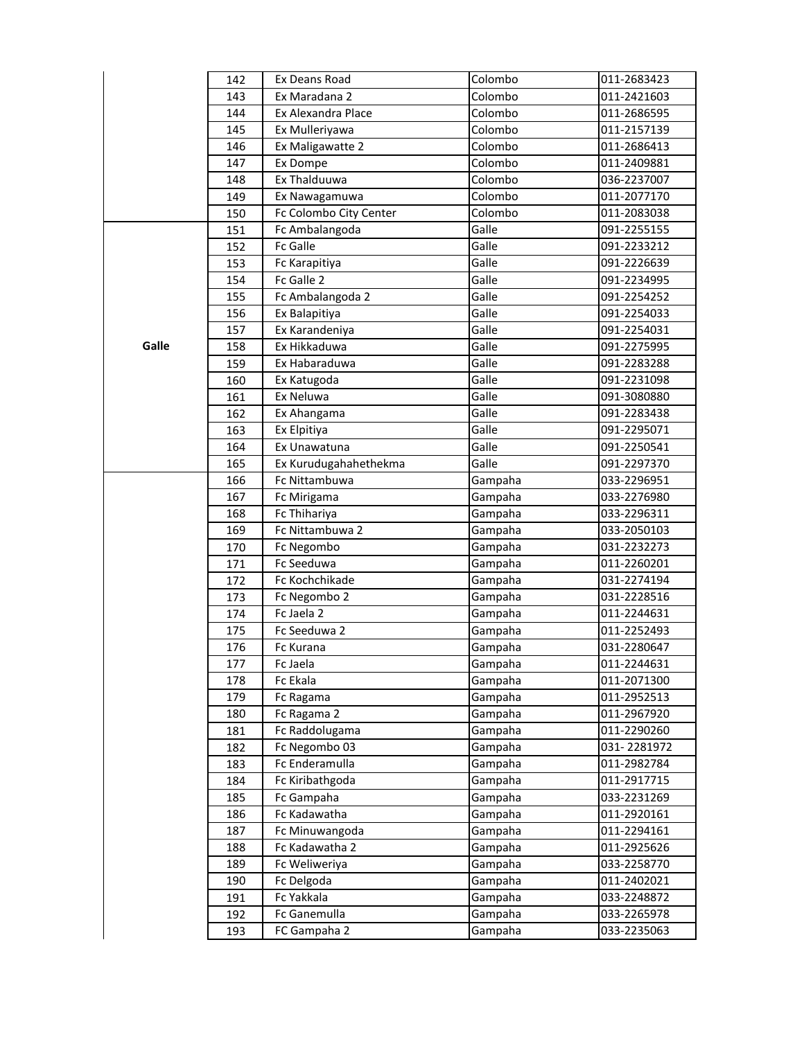|       | 142 | Ex Deans Road          | Colombo | 011-2683423 |
|-------|-----|------------------------|---------|-------------|
|       | 143 | Ex Maradana 2          | Colombo | 011-2421603 |
|       | 144 | Ex Alexandra Place     | Colombo | 011-2686595 |
|       | 145 | Ex Mulleriyawa         | Colombo | 011-2157139 |
|       | 146 | Ex Maligawatte 2       | Colombo | 011-2686413 |
|       | 147 | Ex Dompe               | Colombo | 011-2409881 |
|       | 148 | Ex Thalduuwa           | Colombo | 036-2237007 |
|       | 149 | Ex Nawagamuwa          | Colombo | 011-2077170 |
|       | 150 | Fc Colombo City Center | Colombo | 011-2083038 |
|       | 151 | Fc Ambalangoda         | Galle   | 091-2255155 |
|       | 152 | Fc Galle               | Galle   | 091-2233212 |
|       | 153 | Fc Karapitiya          | Galle   | 091-2226639 |
|       | 154 | Fc Galle 2             | Galle   | 091-2234995 |
|       | 155 | Fc Ambalangoda 2       | Galle   | 091-2254252 |
|       | 156 | Ex Balapitiya          | Galle   | 091-2254033 |
|       | 157 | Ex Karandeniya         | Galle   | 091-2254031 |
| Galle | 158 | Ex Hikkaduwa           | Galle   | 091-2275995 |
|       | 159 | Ex Habaraduwa          | Galle   | 091-2283288 |
|       | 160 | Ex Katugoda            | Galle   | 091-2231098 |
|       | 161 | Ex Neluwa              | Galle   | 091-3080880 |
|       | 162 | Ex Ahangama            | Galle   | 091-2283438 |
|       | 163 | Ex Elpitiya            | Galle   | 091-2295071 |
|       | 164 | Ex Unawatuna           | Galle   | 091-2250541 |
|       | 165 | Ex Kurudugahahethekma  | Galle   | 091-2297370 |
|       | 166 | Fc Nittambuwa          | Gampaha | 033-2296951 |
|       | 167 | Fc Mirigama            | Gampaha | 033-2276980 |
|       | 168 | Fc Thihariya           | Gampaha | 033-2296311 |
|       | 169 | Fc Nittambuwa 2        | Gampaha | 033-2050103 |
|       | 170 | Fc Negombo             | Gampaha | 031-2232273 |
|       | 171 | Fc Seeduwa             | Gampaha | 011-2260201 |
|       | 172 | Fc Kochchikade         | Gampaha | 031-2274194 |
|       | 173 | Fc Negombo 2           | Gampaha | 031-2228516 |
|       | 174 | Fc Jaela 2             | Gampaha | 011-2244631 |
|       | 175 | Fc Seeduwa 2           | Gampaha | 011-2252493 |
|       | 176 | Fc Kurana              | Gampaha | 031-2280647 |
|       | 177 | Fc Jaela               | Gampaha | 011-2244631 |
|       | 178 | Fc Ekala               | Gampaha | 011-2071300 |
|       | 179 | Fc Ragama              | Gampaha | 011-2952513 |
|       | 180 | Fc Ragama 2            | Gampaha | 011-2967920 |
|       | 181 | Fc Raddolugama         | Gampaha | 011-2290260 |
|       | 182 | Fc Negombo 03          | Gampaha | 031-2281972 |
|       | 183 | Fc Enderamulla         | Gampaha | 011-2982784 |
|       | 184 | Fc Kiribathgoda        | Gampaha | 011-2917715 |
|       | 185 | Fc Gampaha             | Gampaha | 033-2231269 |
|       | 186 | Fc Kadawatha           | Gampaha | 011-2920161 |
|       | 187 | Fc Minuwangoda         | Gampaha | 011-2294161 |
|       | 188 | Fc Kadawatha 2         | Gampaha | 011-2925626 |
|       | 189 | Fc Weliweriya          | Gampaha | 033-2258770 |
|       | 190 | Fc Delgoda             | Gampaha | 011-2402021 |
|       | 191 | Fc Yakkala             | Gampaha | 033-2248872 |
|       | 192 | Fc Ganemulla           | Gampaha | 033-2265978 |
|       |     | FC Gampaha 2           | Gampaha | 033-2235063 |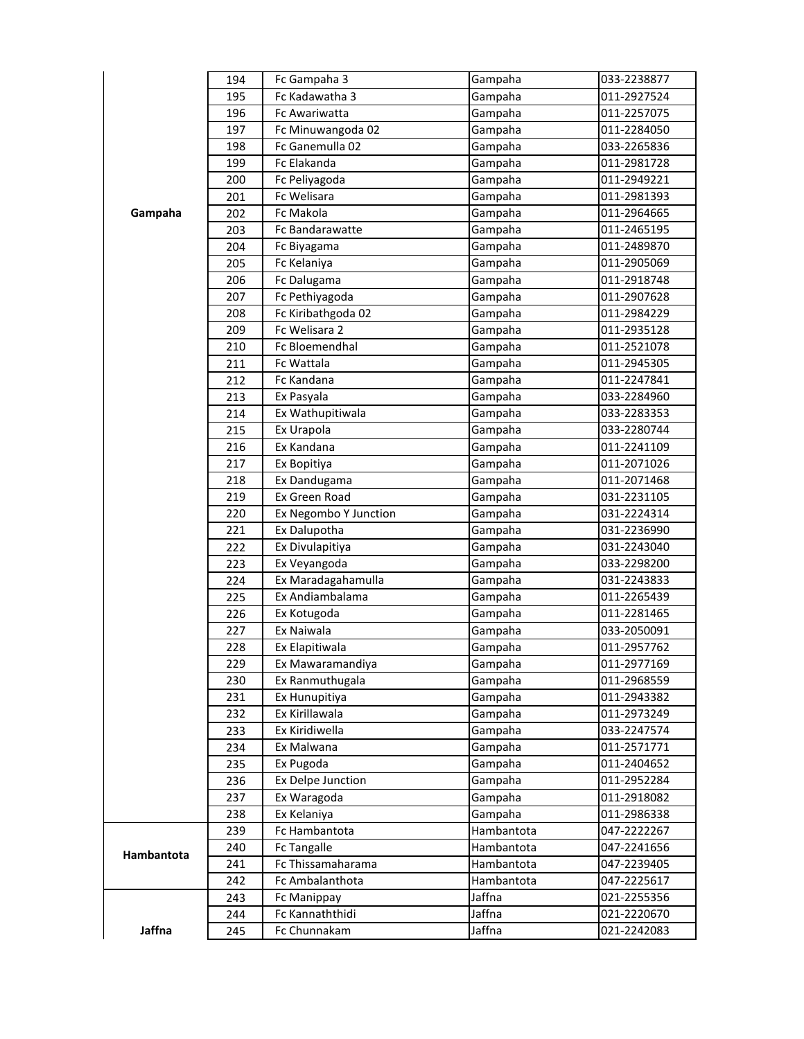|            | 194 | Fc Gampaha 3           | Gampaha    | 033-2238877 |
|------------|-----|------------------------|------------|-------------|
|            | 195 | Fc Kadawatha 3         | Gampaha    | 011-2927524 |
|            | 196 | Fc Awariwatta          | Gampaha    | 011-2257075 |
|            | 197 | Fc Minuwangoda 02      | Gampaha    | 011-2284050 |
|            | 198 | Fc Ganemulla 02        | Gampaha    | 033-2265836 |
|            | 199 | Fc Elakanda            | Gampaha    | 011-2981728 |
|            | 200 | Fc Peliyagoda          | Gampaha    | 011-2949221 |
|            | 201 | Fc Welisara            | Gampaha    | 011-2981393 |
| Gampaha    | 202 | <b>Fc Makola</b>       | Gampaha    | 011-2964665 |
|            | 203 | <b>Fc Bandarawatte</b> | Gampaha    | 011-2465195 |
|            | 204 | Fc Biyagama            | Gampaha    | 011-2489870 |
|            | 205 | Fc Kelaniya            | Gampaha    | 011-2905069 |
|            | 206 | Fc Dalugama            | Gampaha    | 011-2918748 |
|            | 207 | Fc Pethiyagoda         | Gampaha    | 011-2907628 |
|            | 208 | Fc Kiribathgoda 02     | Gampaha    | 011-2984229 |
|            | 209 | Fc Welisara 2          | Gampaha    | 011-2935128 |
|            | 210 | Fc Bloemendhal         | Gampaha    | 011-2521078 |
|            | 211 | Fc Wattala             | Gampaha    | 011-2945305 |
|            | 212 | Fc Kandana             | Gampaha    | 011-2247841 |
|            | 213 | Ex Pasyala             | Gampaha    | 033-2284960 |
|            | 214 | Ex Wathupitiwala       | Gampaha    | 033-2283353 |
|            | 215 | Ex Urapola             | Gampaha    | 033-2280744 |
|            | 216 | Ex Kandana             | Gampaha    | 011-2241109 |
|            | 217 | Ex Bopitiya            | Gampaha    | 011-2071026 |
|            | 218 | Ex Dandugama           | Gampaha    | 011-2071468 |
|            | 219 | Ex Green Road          | Gampaha    | 031-2231105 |
|            | 220 | Ex Negombo Y Junction  | Gampaha    | 031-2224314 |
|            | 221 | Ex Dalupotha           | Gampaha    | 031-2236990 |
|            | 222 | Ex Divulapitiya        | Gampaha    | 031-2243040 |
|            | 223 | Ex Veyangoda           | Gampaha    | 033-2298200 |
|            | 224 | Ex Maradagahamulla     | Gampaha    | 031-2243833 |
|            | 225 | Ex Andiambalama        | Gampaha    | 011-2265439 |
|            | 226 | Ex Kotugoda            | Gampaha    | 011-2281465 |
|            | 227 | Ex Naiwala             | Gampaha    | 033-2050091 |
|            | 228 | Ex Elapitiwala         | Gampaha    | 011-2957762 |
|            | 229 | Ex Mawaramandiya       | Gampaha    | 011-2977169 |
|            | 230 | Ex Ranmuthugala        | Gampaha    | 011-2968559 |
|            | 231 | Ex Hunupitiya          | Gampaha    | 011-2943382 |
|            | 232 | Ex Kirillawala         | Gampaha    | 011-2973249 |
|            | 233 | Ex Kiridiwella         | Gampaha    | 033-2247574 |
|            | 234 | Ex Malwana             | Gampaha    | 011-2571771 |
|            | 235 | Ex Pugoda              | Gampaha    | 011-2404652 |
|            | 236 | Ex Delpe Junction      | Gampaha    | 011-2952284 |
|            | 237 | Ex Waragoda            | Gampaha    | 011-2918082 |
|            | 238 | Ex Kelaniya            | Gampaha    | 011-2986338 |
|            | 239 | Fc Hambantota          | Hambantota | 047-2222267 |
|            | 240 | Fc Tangalle            | Hambantota | 047-2241656 |
| Hambantota | 241 | Fc Thissamaharama      | Hambantota | 047-2239405 |
|            | 242 | Fc Ambalanthota        | Hambantota | 047-2225617 |
|            | 243 | Fc Manippay            | Jaffna     | 021-2255356 |
|            | 244 | Fc Kannaththidi        | Jaffna     | 021-2220670 |
| Jaffna     | 245 | Fc Chunnakam           | Jaffna     | 021-2242083 |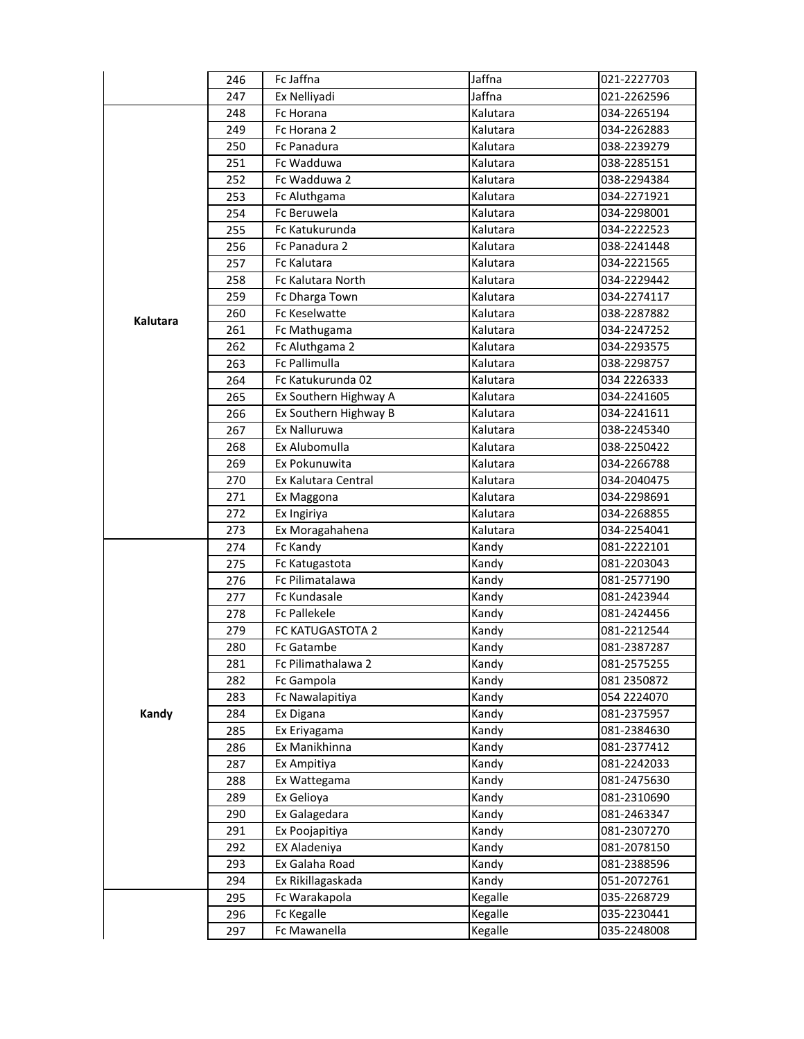|          | 246 | Fc Jaffna             | Jaffna   | 021-2227703 |
|----------|-----|-----------------------|----------|-------------|
|          | 247 | Ex Nelliyadi          | Jaffna   | 021-2262596 |
|          | 248 | Fc Horana             | Kalutara | 034-2265194 |
|          | 249 | Fc Horana 2           | Kalutara | 034-2262883 |
|          | 250 | Fc Panadura           | Kalutara | 038-2239279 |
|          | 251 | Fc Wadduwa            | Kalutara | 038-2285151 |
|          | 252 | Fc Wadduwa 2          | Kalutara | 038-2294384 |
|          | 253 | Fc Aluthgama          | Kalutara | 034-2271921 |
|          | 254 | Fc Beruwela           | Kalutara | 034-2298001 |
|          | 255 | Fc Katukurunda        | Kalutara | 034-2222523 |
|          | 256 | Fc Panadura 2         | Kalutara | 038-2241448 |
|          | 257 | <b>Fc Kalutara</b>    | Kalutara | 034-2221565 |
|          | 258 | Fc Kalutara North     | Kalutara | 034-2229442 |
|          | 259 | Fc Dharga Town        | Kalutara | 034-2274117 |
| Kalutara | 260 | Fc Keselwatte         | Kalutara | 038-2287882 |
|          | 261 | Fc Mathugama          | Kalutara | 034-2247252 |
|          | 262 | Fc Aluthgama 2        | Kalutara | 034-2293575 |
|          | 263 | Fc Pallimulla         | Kalutara | 038-2298757 |
|          | 264 | Fc Katukurunda 02     | Kalutara | 034 2226333 |
|          | 265 | Ex Southern Highway A | Kalutara | 034-2241605 |
|          | 266 | Ex Southern Highway B | Kalutara | 034-2241611 |
|          | 267 | Ex Nalluruwa          | Kalutara | 038-2245340 |
|          | 268 | Ex Alubomulla         | Kalutara | 038-2250422 |
|          | 269 | Ex Pokunuwita         | Kalutara | 034-2266788 |
|          | 270 | Ex Kalutara Central   | Kalutara | 034-2040475 |
|          | 271 | Ex Maggona            | Kalutara | 034-2298691 |
|          | 272 | Ex Ingiriya           | Kalutara | 034-2268855 |
|          | 273 | Ex Moragahahena       | Kalutara | 034-2254041 |
|          | 274 | Fc Kandy              | Kandy    | 081-2222101 |
|          | 275 | Fc Katugastota        | Kandy    | 081-2203043 |
|          | 276 | Fc Pilimatalawa       | Kandy    | 081-2577190 |
|          | 277 | Fc Kundasale          | Kandy    | 081-2423944 |
|          | 278 | <b>Fc Pallekele</b>   | Kandy    | 081-2424456 |
|          | 279 | FC KATUGASTOTA 2      | Kandy    | 081-2212544 |
|          | 280 | Fc Gatambe            | Kandy    | 081-2387287 |
|          | 281 | Fc Pilimathalawa 2    | Kandy    | 081-2575255 |
|          | 282 | Fc Gampola            | Kandy    | 081 2350872 |
|          | 283 | Fc Nawalapitiya       | Kandy    | 054 2224070 |
| Kandy    | 284 | Ex Digana             | Kandy    | 081-2375957 |
|          | 285 | Ex Eriyagama          | Kandy    | 081-2384630 |
|          | 286 | Ex Manikhinna         | Kandy    | 081-2377412 |
|          | 287 | Ex Ampitiya           | Kandy    | 081-2242033 |
|          | 288 | Ex Wattegama          | Kandy    | 081-2475630 |
|          | 289 | Ex Gelioya            | Kandy    | 081-2310690 |
|          | 290 | Ex Galagedara         | Kandy    | 081-2463347 |
|          | 291 | Ex Poojapitiya        | Kandy    | 081-2307270 |
|          | 292 | EX Aladeniya          | Kandy    | 081-2078150 |
|          | 293 | Ex Galaha Road        | Kandy    | 081-2388596 |
|          | 294 | Ex Rikillagaskada     | Kandy    | 051-2072761 |
|          | 295 | Fc Warakapola         | Kegalle  | 035-2268729 |
|          | 296 | Fc Kegalle            | Kegalle  | 035-2230441 |
|          | 297 | Fc Mawanella          | Kegalle  | 035-2248008 |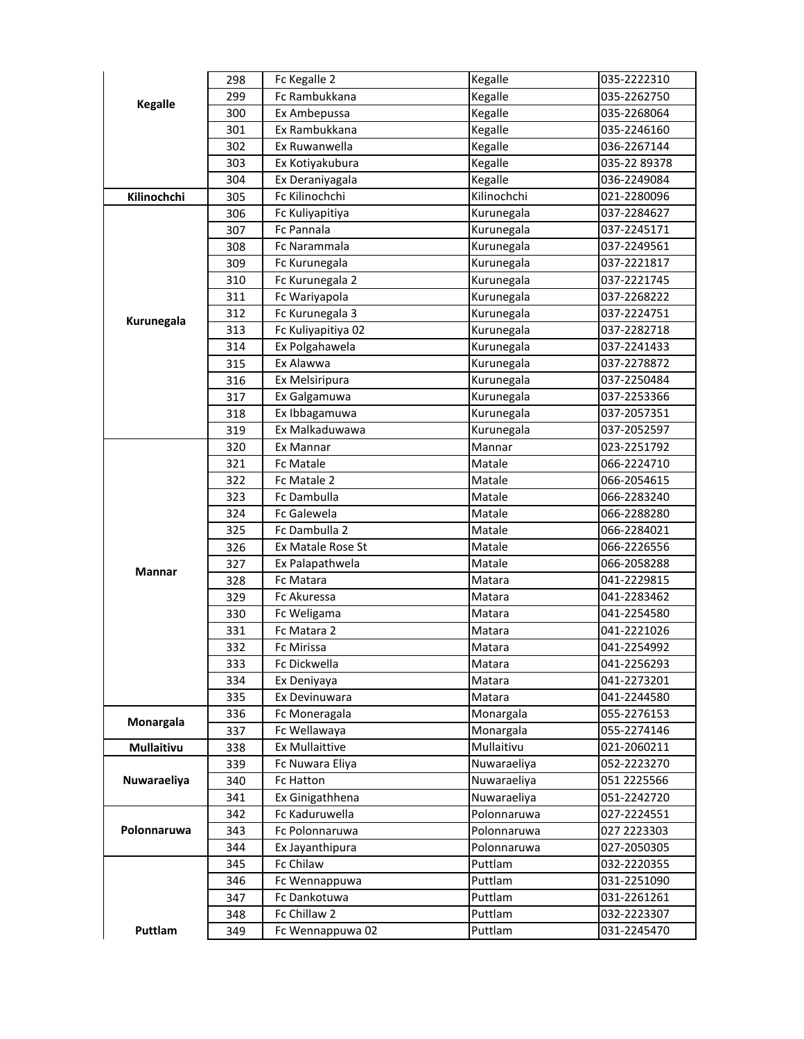|                   | 298 | Fc Kegalle 2          | Kegalle     | 035-2222310  |
|-------------------|-----|-----------------------|-------------|--------------|
|                   | 299 | Fc Rambukkana         | Kegalle     | 035-2262750  |
| <b>Kegalle</b>    | 300 | Ex Ambepussa          | Kegalle     | 035-2268064  |
|                   | 301 | Ex Rambukkana         | Kegalle     | 035-2246160  |
|                   | 302 | Ex Ruwanwella         | Kegalle     | 036-2267144  |
|                   | 303 | Ex Kotiyakubura       | Kegalle     | 035-22 89378 |
|                   | 304 | Ex Deraniyagala       | Kegalle     | 036-2249084  |
| Kilinochchi       | 305 | Fc Kilinochchi        | Kilinochchi | 021-2280096  |
|                   | 306 | Fc Kuliyapitiya       | Kurunegala  | 037-2284627  |
|                   | 307 | Fc Pannala            | Kurunegala  | 037-2245171  |
|                   | 308 | Fc Narammala          | Kurunegala  | 037-2249561  |
|                   | 309 | Fc Kurunegala         | Kurunegala  | 037-2221817  |
|                   | 310 | Fc Kurunegala 2       | Kurunegala  | 037-2221745  |
|                   | 311 | Fc Wariyapola         | Kurunegala  | 037-2268222  |
|                   | 312 | Fc Kurunegala 3       | Kurunegala  | 037-2224751  |
| Kurunegala        | 313 | Fc Kuliyapitiya 02    | Kurunegala  | 037-2282718  |
|                   | 314 | Ex Polgahawela        | Kurunegala  | 037-2241433  |
|                   | 315 | Ex Alawwa             | Kurunegala  | 037-2278872  |
|                   | 316 | Ex Melsiripura        | Kurunegala  | 037-2250484  |
|                   | 317 | Ex Galgamuwa          | Kurunegala  | 037-2253366  |
|                   | 318 | Ex Ibbagamuwa         | Kurunegala  | 037-2057351  |
|                   | 319 | Ex Malkaduwawa        | Kurunegala  | 037-2052597  |
|                   | 320 | Ex Mannar             | Mannar      | 023-2251792  |
|                   | 321 | <b>Fc Matale</b>      | Matale      | 066-2224710  |
|                   | 322 | Fc Matale 2           | Matale      | 066-2054615  |
|                   | 323 | Fc Dambulla           | Matale      | 066-2283240  |
|                   | 324 | Fc Galewela           | Matale      | 066-2288280  |
|                   | 325 | Fc Dambulla 2         | Matale      | 066-2284021  |
|                   | 326 | Ex Matale Rose St     | Matale      | 066-2226556  |
|                   | 327 | Ex Palapathwela       | Matale      | 066-2058288  |
| Mannar            | 328 | Fc Matara             | Matara      | 041-2229815  |
|                   | 329 | Fc Akuressa           | Matara      | 041-2283462  |
|                   | 330 | Fc Weligama           | Matara      | 041-2254580  |
|                   | 331 | Fc Matara 2           | Matara      | 041-2221026  |
|                   | 332 | Fc Mirissa            | Matara      | 041-2254992  |
|                   | 333 | Fc Dickwella          | Matara      | 041-2256293  |
|                   | 334 | Ex Deniyaya           | Matara      | 041-2273201  |
|                   | 335 | Ex Devinuwara         | Matara      | 041-2244580  |
| Monargala         | 336 | Fc Moneragala         | Monargala   | 055-2276153  |
|                   | 337 | Fc Wellawaya          | Monargala   | 055-2274146  |
| <b>Mullaitivu</b> | 338 | <b>Ex Mullaittive</b> | Mullaitivu  | 021-2060211  |
|                   | 339 | Fc Nuwara Eliya       | Nuwaraeliya | 052-2223270  |
| Nuwaraeliya       | 340 | Fc Hatton             | Nuwaraeliya | 051 2225566  |
|                   | 341 | Ex Ginigathhena       | Nuwaraeliya | 051-2242720  |
|                   | 342 | Fc Kaduruwella        | Polonnaruwa | 027-2224551  |
| Polonnaruwa       | 343 | Fc Polonnaruwa        | Polonnaruwa | 027 2223303  |
|                   | 344 | Ex Jayanthipura       | Polonnaruwa | 027-2050305  |
|                   | 345 | Fc Chilaw             | Puttlam     | 032-2220355  |
|                   | 346 | Fc Wennappuwa         | Puttlam     | 031-2251090  |
|                   |     |                       |             |              |
|                   | 347 | Fc Dankotuwa          | Puttlam     | 031-2261261  |
|                   | 348 | Fc Chillaw 2          | Puttlam     | 032-2223307  |